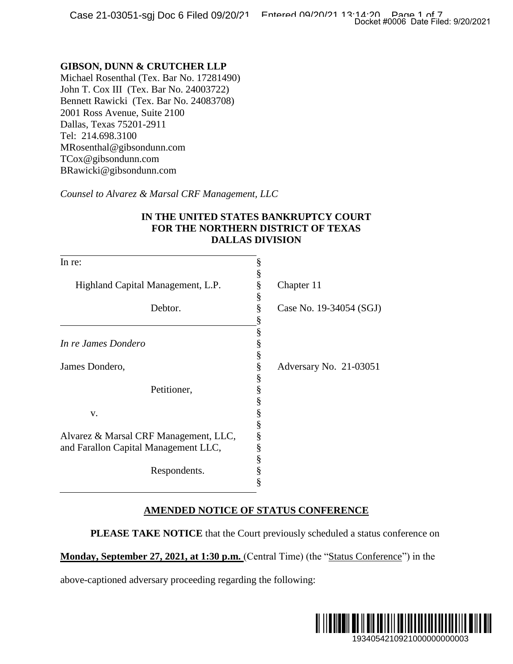### **GIBSON, DUNN & CRUTCHER LLP**

|                                                                                                                                                                                                                                       |                         | Docket #0006 Date Filed: 9/20/2021                                                   |
|---------------------------------------------------------------------------------------------------------------------------------------------------------------------------------------------------------------------------------------|-------------------------|--------------------------------------------------------------------------------------|
|                                                                                                                                                                                                                                       |                         |                                                                                      |
| <b>GIBSON, DUNN &amp; CRUTCHER LLP</b><br>Michael Rosenthal (Tex. Bar No. 17281490)<br>John T. Cox III (Tex. Bar No. 24003722)<br>Bennett Rawicki (Tex. Bar No. 24083708)<br>2001 Ross Avenue, Suite 2100<br>Dallas, Texas 75201-2911 |                         |                                                                                      |
| Tel: 214.698.3100<br>MRosenthal@gibsondunn.com<br>TCox@gibsondunn.com                                                                                                                                                                 |                         |                                                                                      |
| BRawicki@gibsondunn.com                                                                                                                                                                                                               |                         |                                                                                      |
| Counsel to Alvarez & Marsal CRF Management, LLC                                                                                                                                                                                       |                         |                                                                                      |
| IN THE UNITED STATES BANKRUPTCY COURT<br>FOR THE NORTHERN DISTRICT OF TEXAS<br><b>DALLAS DIVISION</b>                                                                                                                                 |                         |                                                                                      |
| In re:                                                                                                                                                                                                                                | §                       |                                                                                      |
| Highland Capital Management, L.P.                                                                                                                                                                                                     | §<br>§                  | Chapter 11                                                                           |
| Debtor.                                                                                                                                                                                                                               | §<br>§<br>§             | Case No. 19-34054 (SGJ)                                                              |
| In re James Dondero                                                                                                                                                                                                                   | 89 89 99 99 99 99       |                                                                                      |
| James Dondero,                                                                                                                                                                                                                        |                         | Adversary No. 21-03051                                                               |
| Petitioner,                                                                                                                                                                                                                           |                         |                                                                                      |
| V.                                                                                                                                                                                                                                    |                         |                                                                                      |
| Alvarez & Marsal CRF Management, LLC,<br>and Farallon Capital Management LLC,                                                                                                                                                         | So so so so so so so so |                                                                                      |
| Respondents.                                                                                                                                                                                                                          |                         |                                                                                      |
| <b>AMENDED NOTICE OF STATUS CONFERENCE</b>                                                                                                                                                                                            |                         |                                                                                      |
|                                                                                                                                                                                                                                       |                         | <b>PLEASE TAKE NOTICE</b> that the Court previously scheduled a status conference on |
| Monday, September 27, 2021, at 1:30 p.m. (Central Time) (the "Status Conference") in the                                                                                                                                              |                         |                                                                                      |
| above-captioned adversary proceeding regarding the following:                                                                                                                                                                         |                         |                                                                                      |
|                                                                                                                                                                                                                                       |                         |                                                                                      |
|                                                                                                                                                                                                                                       |                         | 1934054210921000000000003                                                            |

## **IN THE UNITED STATES BANKRUPTCY COURT FOR THE NORTHERN DISTRICT OF TEXAS DALLAS DIVISION**

### **AMENDED NOTICE OF STATUS CONFERENCE**

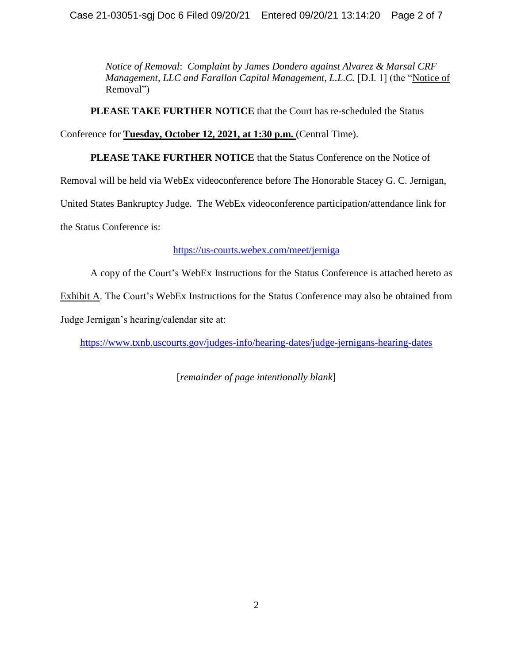*Notice of Removal*: *Complaint by James Dondero against Alvarez & Marsal CRF Management, LLC and Farallon Capital Management, L.L.C.* [D.I. 1] (the "Notice of Removal")

**PLEASE TAKE FURTHER NOTICE** that the Court has re-scheduled the Status

Conference for **Tuesday, October 12, 2021, at 1:30 p.m.** (Central Time).

**PLEASE TAKE FURTHER NOTICE** that the Status Conference on the Notice of

Removal will be held via WebEx videoconference before The Honorable Stacey G. C. Jernigan,

United States Bankruptcy Judge. The WebEx videoconference participation/attendance link for

the Status Conference is:

#### <https://us-courts.webex.com/meet/jerniga>

A copy of the Court's WebEx Instructions for the Status Conference is attached hereto as Exhibit A. The Court's WebEx Instructions for the Status Conference may also be obtained from Judge Jernigan's hearing/calendar site at:

<https://www.txnb.uscourts.gov/judges-info/hearing-dates/judge-jernigans-hearing-dates>

[*remainder of page intentionally blank*]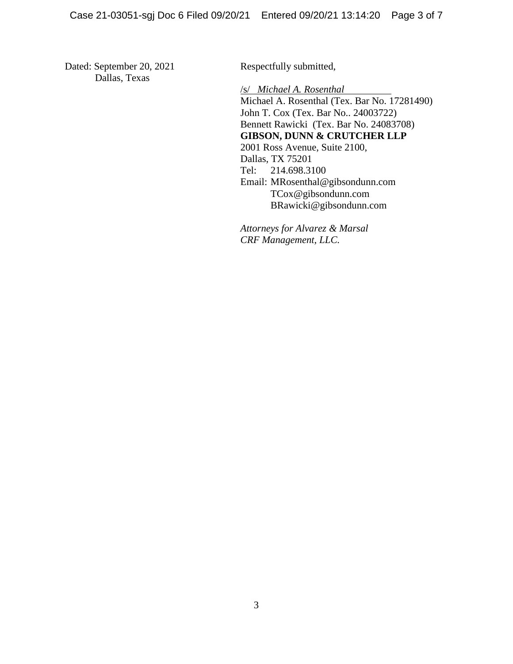Dated: September 20, 2021 Dallas, Texas

Respectfully submitted,

/s/ *Michael A. Rosenthal* Michael A. Rosenthal (Tex. Bar No. 17281490) John T. Cox (Tex. Bar No.. 24003722) Bennett Rawicki (Tex. Bar No. 24083708) **GIBSON, DUNN & CRUTCHER LLP** 2001 Ross Avenue, Suite 2100, Dallas, TX 75201 Tel: 214.698.3100 Email: MRosenthal@gibsondunn.com TCox@gibsondunn.com BRawicki@gibsondunn.com

*Attorneys for Alvarez & Marsal CRF Management, LLC.*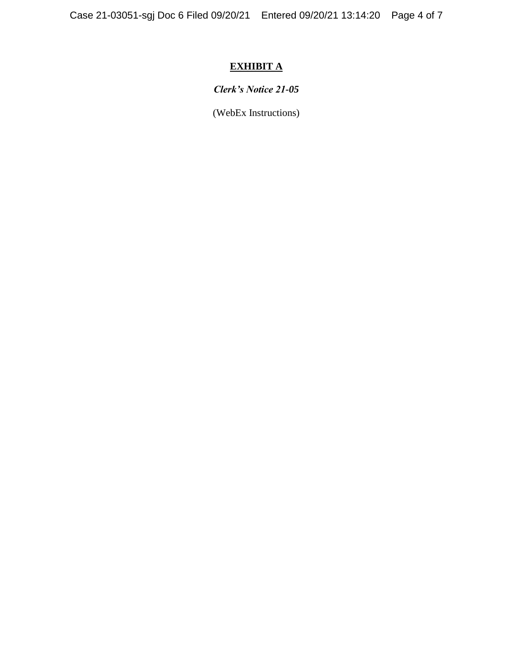# **EXHIBIT A**

## *Clerk's Notice 21-05*

(WebEx Instructions)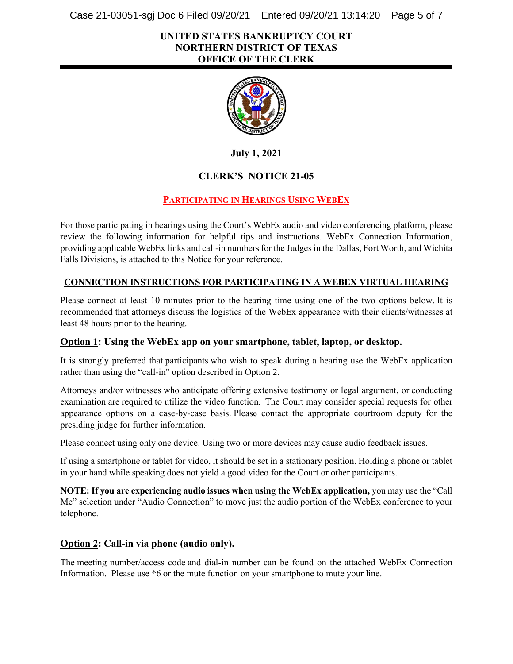Case 21-03051-sgj Doc 6 Filed 09/20/21 Entered 09/20/21 13:14:20 Page 5 of 7

#### **UNITED STATES BANKRUPTCY COURT NORTHERN DISTRICT OF TEXAS OFFICE OF THE CLERK**



**July 1, 2021**

### **CLERK'S NOTICE 21-05**

### **PARTICIPATING IN HEARINGS USING WEBEX**

For those participating in hearings using the Court's WebEx audio and video conferencing platform, please review the following information for helpful tips and instructions. WebEx Connection Information, providing applicable WebEx links and call-in numbersfor the Judges in the Dallas, Fort Worth, and Wichita Falls Divisions, is attached to this Notice for your reference.

#### **CONNECTION INSTRUCTIONS FOR PARTICIPATING IN A WEBEX VIRTUAL HEARING**

Please connect at least 10 minutes prior to the hearing time using one of the two options below. It is recommended that attorneys discuss the logistics of the WebEx appearance with their clients/witnesses at least 48 hours prior to the hearing.

#### **Option 1: Using the WebEx app on your smartphone, tablet, laptop, or desktop.**

It is strongly preferred that participants who wish to speak during a hearing use the WebEx application rather than using the "call-in" option described in Option 2.

Attorneys and/or witnesses who anticipate offering extensive testimony or legal argument, or conducting examination are required to utilize the video function. The Court may consider special requests for other appearance options on a case-by-case basis. Please contact the appropriate courtroom deputy for the presiding judge for further information.

Please connect using only one device. Using two or more devices may cause audio feedback issues.

If using a smartphone or tablet for video, it should be set in a stationary position. Holding a phone or tablet in your hand while speaking does not yield a good video for the Court or other participants.

**NOTE: If you are experiencing audio issues when using the WebEx application,** you may use the "Call Me" selection under "Audio Connection" to move just the audio portion of the WebEx conference to your telephone.

#### **Option 2: Call-in via phone (audio only).**

The meeting number/access code and dial-in number can be found on the attached WebEx Connection Information. Please use \*6 or the mute function on your smartphone to mute your line.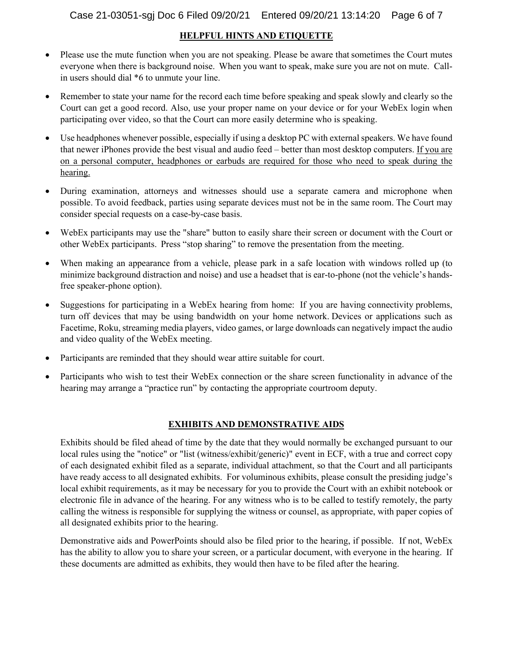#### **HELPFUL HINTS AND ETIQUETTE**

- Please use the mute function when you are not speaking. Please be aware that sometimes the Court mutes everyone when there is background noise.  When you want to speak, make sure you are not on mute. Callin users should dial \*6 to unmute your line.
- Remember to state your name for the record each time before speaking and speak slowly and clearly so the Court can get a good record. Also, use your proper name on your device or for your WebEx login when participating over video, so that the Court can more easily determine who is speaking.
- Use headphones whenever possible, especially if using a desktop PC with external speakers. We have found that newer iPhones provide the best visual and audio feed – better than most desktop computers. If you are on a personal computer, headphones or earbuds are required for those who need to speak during the hearing.
- During examination, attorneys and witnesses should use a separate camera and microphone when possible. To avoid feedback, parties using separate devices must not be in the same room. The Court may consider special requests on a case-by-case basis.
- WebEx participants may use the "share" button to easily share their screen or document with the Court or other WebEx participants.  Press "stop sharing" to remove the presentation from the meeting.
- When making an appearance from a vehicle, please park in a safe location with windows rolled up (to minimize background distraction and noise) and use a headset that is ear-to-phone (not the vehicle's handsfree speaker-phone option).
- Suggestions for participating in a WebEx hearing from home: If you are having connectivity problems, turn off devices that may be using bandwidth on your home network. Devices or applications such as Facetime, Roku, streaming media players, video games, or large downloads can negatively impact the audio and video quality of the WebEx meeting.
- Participants are reminded that they should wear attire suitable for court.
- Participants who wish to test their WebEx connection or the share screen functionality in advance of the hearing may arrange a "practice run" by contacting the appropriate courtroom deputy.

#### **EXHIBITS AND DEMONSTRATIVE AIDS**

Exhibits should be filed ahead of time by the date that they would normally be exchanged pursuant to our local rules using the "notice" or "list (witness/exhibit/generic)" event in ECF, with a true and correct copy of each designated exhibit filed as a separate, individual attachment, so that the Court and all participants have ready access to all designated exhibits. For voluminous exhibits, please consult the presiding judge's local exhibit requirements, as it may be necessary for you to provide the Court with an exhibit notebook or electronic file in advance of the hearing. For any witness who is to be called to testify remotely, the party calling the witness is responsible for supplying the witness or counsel, as appropriate, with paper copies of all designated exhibits prior to the hearing.

Demonstrative aids and PowerPoints should also be filed prior to the hearing, if possible. If not, WebEx has the ability to allow you to share your screen, or a particular document, with everyone in the hearing. If these documents are admitted as exhibits, they would then have to be filed after the hearing.